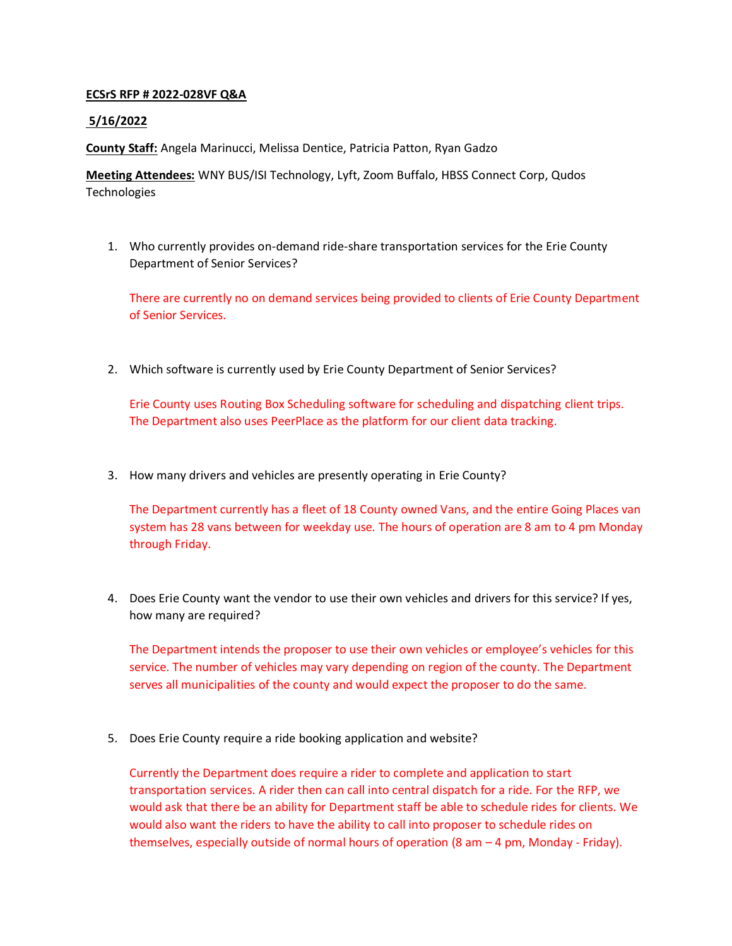## **ECSrS RFP # 2022-028VF Q&A**

## **5/16/2022**

**County Staff:** Angela Marinucci, Melissa Dentice, Patricia Patton, Ryan Gadzo

**Meeting Attendees:** WNY BUS/ISI Technology, Lyft, Zoom Buffalo, HBSS Connect Corp, Qudos Technologies

1. Who currently provides on-demand ride-share transportation services for the Erie County Department of Senior Services?

There are currently no on demand services being provided to clients of Erie County Department of Senior Services.

2. Which software is currently used by Erie County Department of Senior Services?

Erie County uses Routing Box Scheduling software for scheduling and dispatching client trips. The Department also uses PeerPlace as the platform for our client data tracking.

3. How many drivers and vehicles are presently operating in Erie County?

The Department currently has a fleet of 18 County owned Vans, and the entire Going Places van system has 28 vans between for weekday use. The hours of operation are 8 am to 4 pm Monday through Friday.

4. Does Erie County want the vendor to use their own vehicles and drivers for this service? If yes, how many are required?

The Department intends the proposer to use their own vehicles or employee's vehicles for this service. The number of vehicles may vary depending on region of the county. The Department serves all municipalities of the county and would expect the proposer to do the same.

5. Does Erie County require a ride booking application and website?

Currently the Department does require a rider to complete and application to start transportation services. A rider then can call into central dispatch for a ride. For the RFP, we would ask that there be an ability for Department staff be able to schedule rides for clients. We would also want the riders to have the ability to call into proposer to schedule rides on themselves, especially outside of normal hours of operation (8 am – 4 pm, Monday - Friday).